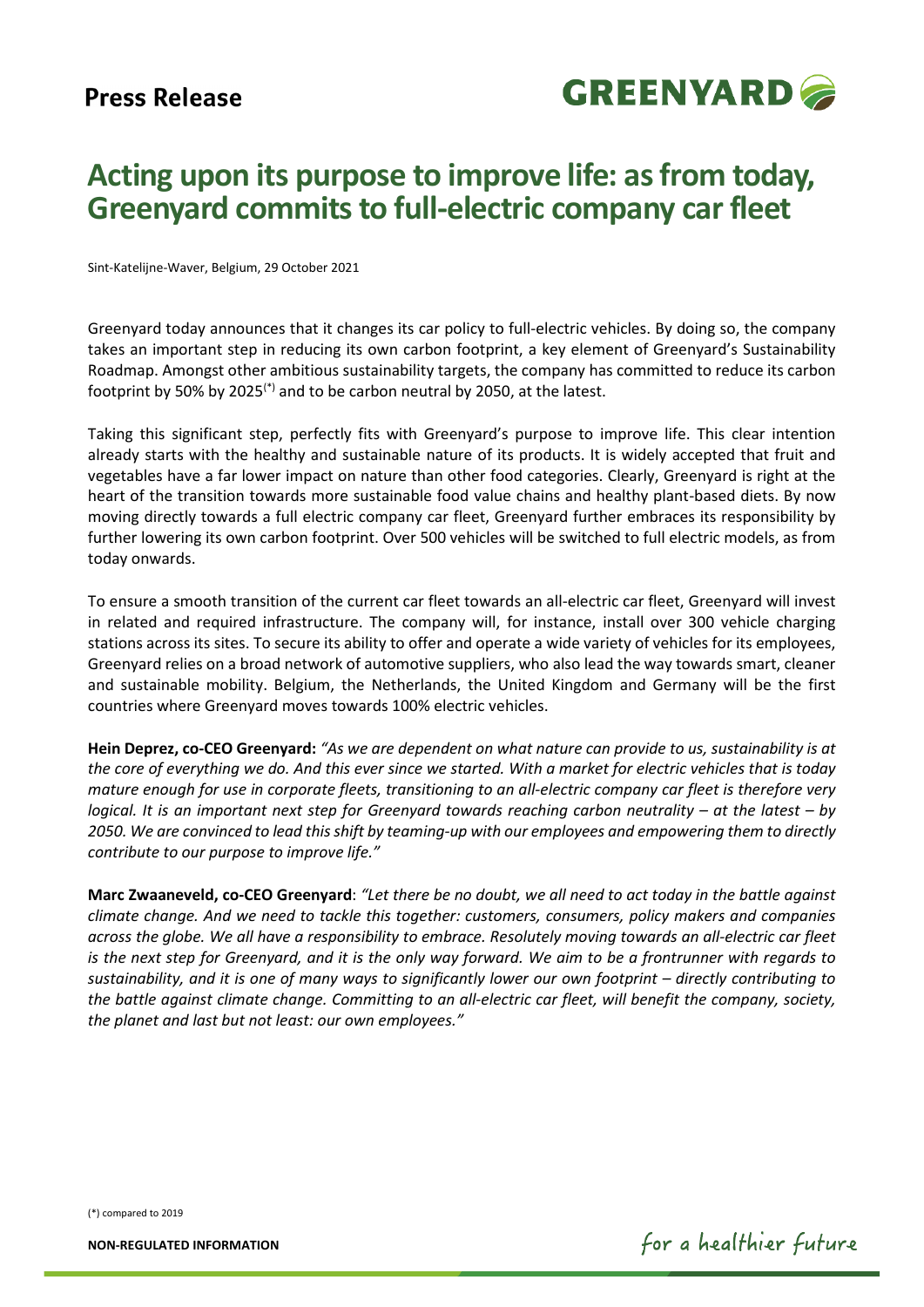

## **Acting upon its purpose to improve life: as from today, Greenyard commits to full-electric company car fleet**

Sint-Katelijne-Waver, Belgium, 29 October 2021

Greenyard today announces that it changes its car policy to full-electric vehicles. By doing so, the company takes an important step in reducing its own carbon footprint, a key element of Greenyard's Sustainability Roadmap. Amongst other ambitious sustainability targets, the company has committed to reduce its carbon footprint by 50% by 2025(\*) and to be carbon neutral by 2050, at the latest.

Taking this significant step, perfectly fits with Greenyard's purpose to improve life. This clear intention already starts with the healthy and sustainable nature of its products. It is widely accepted that fruit and vegetables have a far lower impact on nature than other food categories. Clearly, Greenyard is right at the heart of the transition towards more sustainable food value chains and healthy plant-based diets. By now moving directly towards a full electric company car fleet, Greenyard further embraces its responsibility by further lowering its own carbon footprint. Over 500 vehicles will be switched to full electric models, as from today onwards.

To ensure a smooth transition of the current car fleet towards an all-electric car fleet, Greenyard will invest in related and required infrastructure. The company will, for instance, install over 300 vehicle charging stations across its sites. To secure its ability to offer and operate a wide variety of vehicles for its employees, Greenyard relies on a broad network of automotive suppliers, who also lead the way towards smart, cleaner and sustainable mobility. Belgium, the Netherlands, the United Kingdom and Germany will be the first countries where Greenyard moves towards 100% electric vehicles.

**Hein Deprez, co-CEO Greenyard:** *"As we are dependent on what nature can provide to us, sustainability is at the core of everything we do. And this ever since we started. With a market for electric vehicles that is today mature enough for use in corporate fleets, transitioning to an all-electric company car fleet is therefore very logical. It is an important next step for Greenyard towards reaching carbon neutrality – at the latest – by 2050. We are convinced to lead this shift by teaming-up with our employees and empowering them to directly contribute to our purpose to improve life."*

**Marc Zwaaneveld, co-CEO Greenyard**: *"Let there be no doubt, we all need to act today in the battle against climate change. And we need to tackle this together: customers, consumers, policy makers and companies across the globe. We all have a responsibility to embrace. Resolutely moving towards an all-electric car fleet is the next step for Greenyard, and it is the only way forward. We aim to be a frontrunner with regards to sustainability, and it is one of many ways to significantly lower our own footprint – directly contributing to the battle against climate change. Committing to an all-electric car fleet, will benefit the company, society, the planet and last but not least: our own employees."*

(\*) compared to 2019

**NON-REGULATED INFORMATION**

for a healthier future